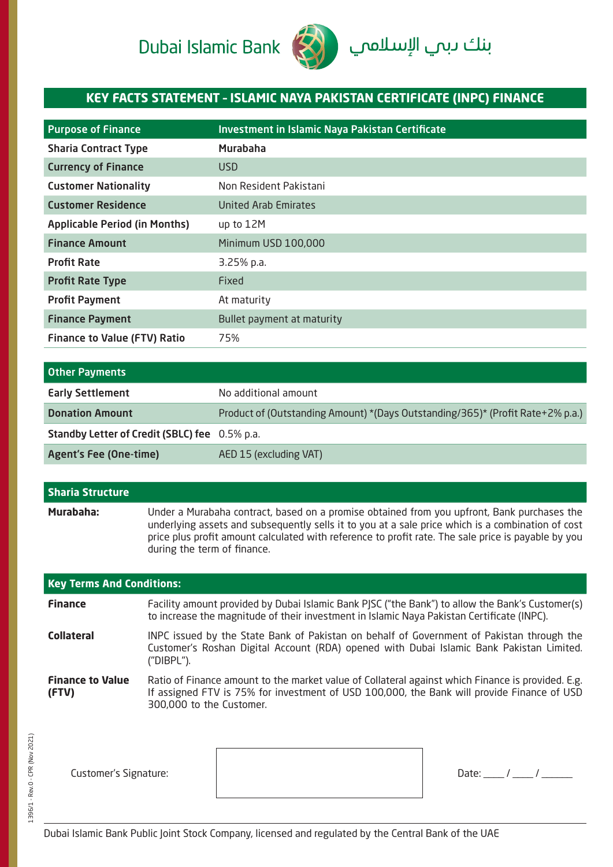# Dubai Islamic Bank



## **KEY FACTS STATEMENT – ISLAMIC NAYA PAKISTAN CERTIFICATE (INPC) FINANCE**

| <b>Purpose of Finance</b>            | Investment in Islamic Naya Pakistan Certificate |
|--------------------------------------|-------------------------------------------------|
| <b>Sharia Contract Type</b>          | Murabaha                                        |
| <b>Currency of Finance</b>           | USD.                                            |
| <b>Customer Nationality</b>          | Non Resident Pakistani                          |
| <b>Customer Residence</b>            | United Arab Emirates                            |
| <b>Applicable Period (in Months)</b> | up to 12M                                       |
| <b>Finance Amount</b>                | Minimum USD 100,000                             |
| <b>Profit Rate</b>                   | 3.25% p.a.                                      |
| <b>Profit Rate Type</b>              | Fixed                                           |
| <b>Profit Payment</b>                | At maturity                                     |
| <b>Finance Payment</b>               | Bullet payment at maturity                      |
| <b>Finance to Value (FTV) Ratio</b>  | 75%                                             |

| <b>Other Payments</b>                         |                                                                                |
|-----------------------------------------------|--------------------------------------------------------------------------------|
| <b>Early Settlement</b>                       | No additional amount                                                           |
| <b>Donation Amount</b>                        | Product of (Outstanding Amount) *(Days Outstanding/365)* (Profit Rate+2% p.a.) |
| Standby Letter of Credit (SBLC) fee 0.5% p.a. |                                                                                |
| <b>Agent's Fee (One-time)</b>                 | AED 15 (excluding VAT)                                                         |

## **Sharia Structure Murabaha:** Under a Murabaha contract, based on a promise obtained from you upfront, Bank purchases the underlying assets and subsequently sells it to you at a sale price which is a combination of cost price plus profit amount calculated with reference to profit rate. The sale price is payable by you during the term of finance.

| <b>Key Terms And Conditions:</b> |                                                                                                                                                                                                                             |  |  |
|----------------------------------|-----------------------------------------------------------------------------------------------------------------------------------------------------------------------------------------------------------------------------|--|--|
| <b>Finance</b>                   | Facility amount provided by Dubai Islamic Bank PJSC ("the Bank") to allow the Bank's Customer(s)<br>to increase the magnitude of their investment in Islamic Naya Pakistan Certificate (INPC).                              |  |  |
| <b>Collateral</b>                | INPC issued by the State Bank of Pakistan on behalf of Government of Pakistan through the<br>Customer's Roshan Digital Account (RDA) opened with Dubai Islamic Bank Pakistan Limited.<br>('DIBPL'').                        |  |  |
| <b>Finance to Value</b><br>(FTV) | Ratio of Finance amount to the market value of Collateral against which Finance is provided. E.g.<br>If assigned FTV is 75% for investment of USD 100,000, the Bank will provide Finance of USD<br>300,000 to the Customer. |  |  |

Customer's Signature:  $\begin{array}{ccc} \hline \end{array}$   $\begin{array}{ccc} \hline \end{array}$  Date:  $\begin{array}{ccc} \hline \end{array}$  /  $\begin{array}{ccc} \hline \end{array}$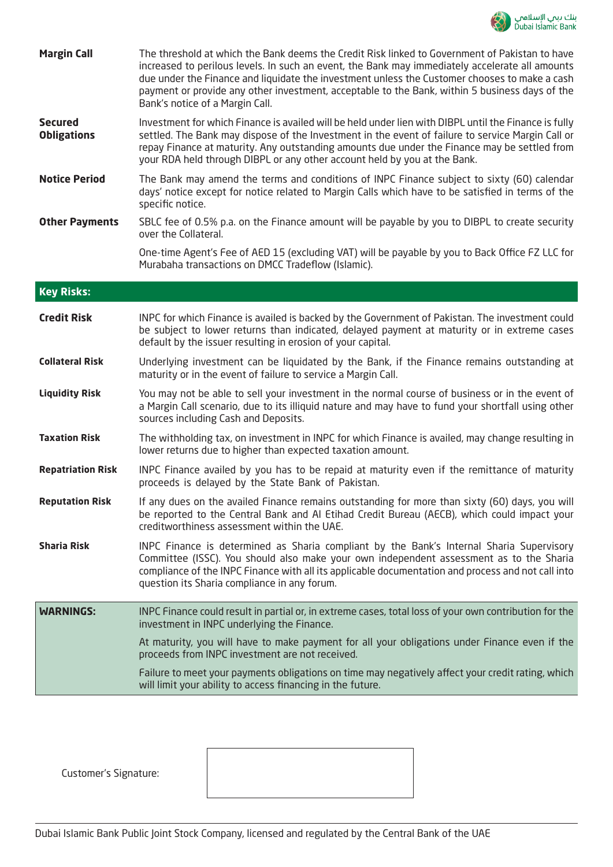

| <b>Margin Call</b>                   | The threshold at which the Bank deems the Credit Risk linked to Government of Pakistan to have<br>increased to perilous levels. In such an event, the Bank may immediately accelerate all amounts<br>due under the Finance and liquidate the investment unless the Customer chooses to make a cash<br>payment or provide any other investment, acceptable to the Bank, within 5 business days of the<br>Bank's notice of a Margin Call. |
|--------------------------------------|-----------------------------------------------------------------------------------------------------------------------------------------------------------------------------------------------------------------------------------------------------------------------------------------------------------------------------------------------------------------------------------------------------------------------------------------|
| <b>Secured</b><br><b>Obligations</b> | Investment for which Finance is availed will be held under lien with DIBPL until the Finance is fully<br>settled. The Bank may dispose of the Investment in the event of failure to service Margin Call or<br>repay Finance at maturity. Any outstanding amounts due under the Finance may be settled from<br>your RDA held through DIBPL or any other account held by you at the Bank.                                                 |
| <b>Notice Period</b>                 | The Bank may amend the terms and conditions of INPC Finance subject to sixty (60) calendar<br>days' notice except for notice related to Margin Calls which have to be satisfied in terms of the<br>specific notice.                                                                                                                                                                                                                     |
| <b>Other Payments</b>                | SBLC fee of 0.5% p.a. on the Finance amount will be payable by you to DIBPL to create security<br>over the Collateral.                                                                                                                                                                                                                                                                                                                  |
|                                      | One-time Agent's Fee of AED 15 (excluding VAT) will be payable by you to Back Office FZ LLC for<br>Murabaha transactions on DMCC Tradeflow (Islamic).                                                                                                                                                                                                                                                                                   |
| <b>Key Risks:</b>                    |                                                                                                                                                                                                                                                                                                                                                                                                                                         |
| <b>Credit Risk</b>                   | INPC for which Finance is availed is backed by the Government of Pakistan. The investment could<br>be subject to lower returns than indicated, delayed payment at maturity or in extreme cases<br>default by the issuer resulting in erosion of your capital.                                                                                                                                                                           |
| <b>Collateral Risk</b>               | Underlying investment can be liquidated by the Bank, if the Finance remains outstanding at<br>maturity or in the event of failure to service a Margin Call.                                                                                                                                                                                                                                                                             |
| <b>Liquidity Risk</b>                | You may not be able to sell your investment in the normal course of business or in the event of<br>a Margin Call scenario, due to its illiquid nature and may have to fund your shortfall using other<br>sources including Cash and Deposits.                                                                                                                                                                                           |
| <b>Taxation Risk</b>                 | The withholding tax, on investment in INPC for which Finance is availed, may change resulting in<br>lower returns due to higher than expected taxation amount.                                                                                                                                                                                                                                                                          |
| <b>Repatriation Risk</b>             | INPC Finance availed by you has to be repaid at maturity even if the remittance of maturity<br>proceeds is delayed by the State Bank of Pakistan.                                                                                                                                                                                                                                                                                       |
| <b>Reputation Risk</b>               | If any dues on the availed Finance remains outstanding for more than sixty (60) days, you will<br>be reported to the Central Bank and AI Etihad Credit Bureau (AECB), which could impact your<br>creditworthiness assessment within the UAE.                                                                                                                                                                                            |
| <b>Sharia Risk</b>                   | INPC Finance is determined as Sharia compliant by the Bank's Internal Sharia Supervisory<br>Committee (ISSC). You should also make your own independent assessment as to the Sharia<br>compliance of the INPC Finance with all its applicable documentation and process and not call into<br>question its Sharia compliance in any forum.                                                                                               |
| <b>WARNINGS:</b>                     | INPC Finance could result in partial or, in extreme cases, total loss of your own contribution for the<br>investment in INPC underlying the Finance.                                                                                                                                                                                                                                                                                    |
|                                      | At maturity, you will have to make payment for all your obligations under Finance even if the<br>proceeds from INPC investment are not received.                                                                                                                                                                                                                                                                                        |
|                                      | Failure to meet your payments obligations on time may negatively affect your credit rating, which<br>will limit your ability to access financing in the future.                                                                                                                                                                                                                                                                         |

Customer's Signature: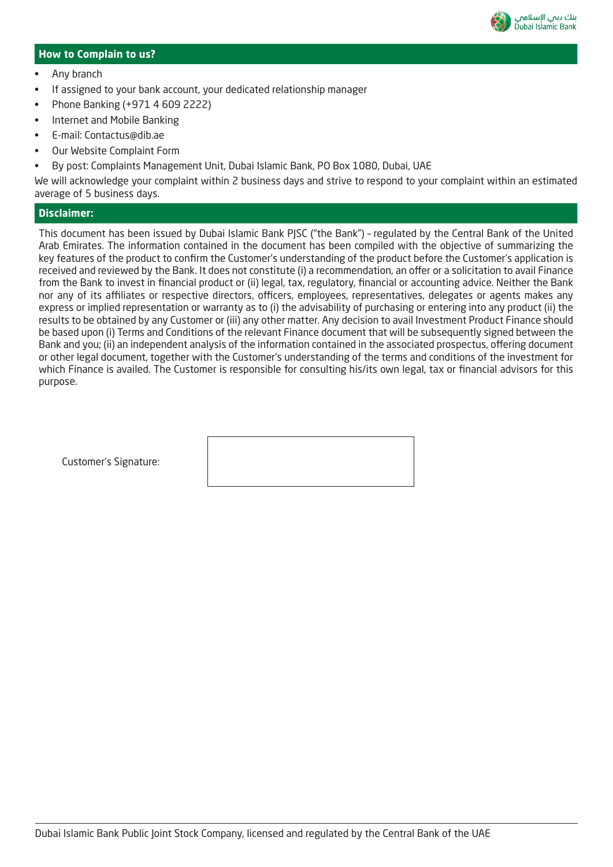

#### **How to Complain to us?**

- Any branch
- If assigned to your bank account, your dedicated relationship manager
- Phone Banking (+971 4 609 2222)
- Internet and Mobile Banking
- E-mail: Contactus@dib.ae
- Our Website Complaint Form
- By post: Complaints Management Unit, Dubai Islamic Bank, PO Box 1080, Dubai, UAE

We will acknowledge your complaint within 2 business days and strive to respond to your complaint within an estimated average of 5 business days.

#### **Disclaimer:**

This document has been issued by Dubai Islamic Bank PJSC ("the Bank") – regulated by the Central Bank of the United Arab Emirates. The information contained in the document has been compiled with the objective of summarizing the key features of the product to confirm the Customer's understanding of the product before the Customer's application is received and reviewed by the Bank. It does not constitute (i) a recommendation, an offer or a solicitation to avail Finance from the Bank to invest in financial product or (ii) legal, tax, regulatory, financial or accounting advice. Neither the Bank nor any of its affiliates or respective directors, officers, employees, representatives, delegates or agents makes any express or implied representation or warranty as to (i) the advisability of purchasing or entering into any product (ii) the results to be obtained by any Customer or (iii) any other matter. Any decision to avail Investment Product Finance should be based upon (i) Terms and Conditions of the relevant Finance document that will be subsequently signed between the Bank and you; (ii) an independent analysis of the information contained in the associated prospectus, offering document or other legal document, together with the Customer's understanding of the terms and conditions of the investment for which Finance is availed. The Customer is responsible for consulting his/its own legal, tax or financial advisors for this purpose.

Customer's Signature: